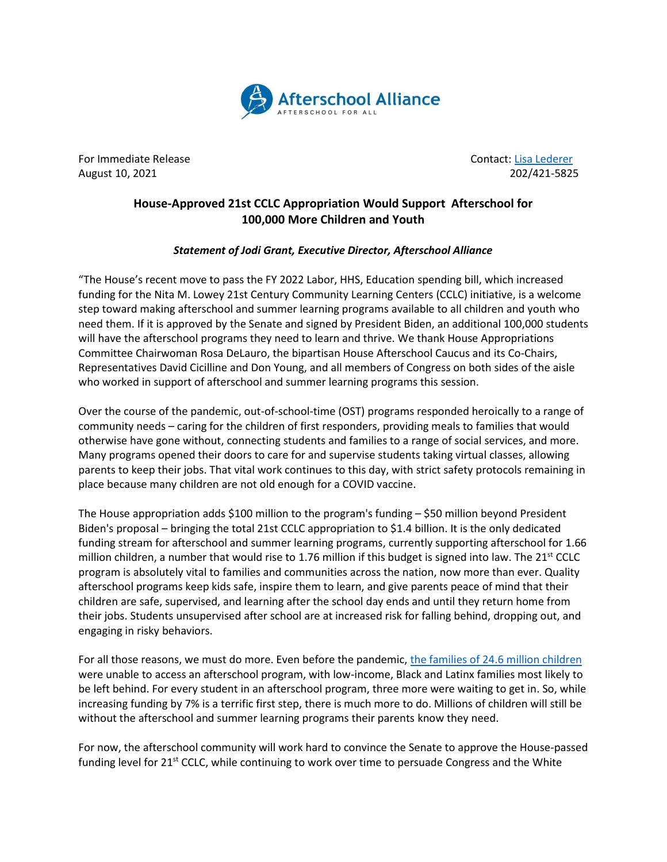

For Immediate Release Contact: [Lisa Lederer](mailto:lisa@prsolutionsdc.com) August 10, 2021 202/421-5825

## **House-Approved 21st CCLC Appropriation Would Support Afterschool for 100,000 More Children and Youth**

## *Statement of Jodi Grant, Executive Director, Afterschool Alliance*

"The House's recent move to pass the FY 2022 Labor, HHS, Education spending bill, which increased funding for the Nita M. Lowey 21st Century Community Learning Centers (CCLC) initiative, is a welcome step toward making afterschool and summer learning programs available to all children and youth who need them. If it is approved by the Senate and signed by President Biden, an additional 100,000 students will have the afterschool programs they need to learn and thrive. We thank House Appropriations Committee Chairwoman Rosa DeLauro, the bipartisan House Afterschool Caucus and its Co-Chairs, Representatives David Cicilline and Don Young, and all members of Congress on both sides of the aisle who worked in support of afterschool and summer learning programs this session.

Over the course of the pandemic, out-of-school-time (OST) programs responded heroically to a range of community needs – caring for the children of first responders, providing meals to families that would otherwise have gone without, connecting students and families to a range of social services, and more. Many programs opened their doors to care for and supervise students taking virtual classes, allowing parents to keep their jobs. That vital work continues to this day, with strict safety protocols remaining in place because many children are not old enough for a COVID vaccine.

The House appropriation adds \$100 million to the program's funding – \$50 million beyond President Biden's proposal – bringing the total 21st CCLC appropriation to \$1.4 billion. It is the only dedicated funding stream for afterschool and summer learning programs, currently supporting afterschool for 1.66 million children, a number that would rise to 1.76 million if this budget is signed into law. The  $21^{st}$  CCLC program is absolutely vital to families and communities across the nation, now more than ever. Quality afterschool programs keep kids safe, inspire them to learn, and give parents peace of mind that their children are safe, supervised, and learning after the school day ends and until they return home from their jobs. Students unsupervised after school are at increased risk for falling behind, dropping out, and engaging in risky behaviors.

For all those reasons, we must do more. Even before the pandemic[, the families of 24.6 million children](http://afterschoolalliance.org/press_archives/AA3PM-2020/National-AA3PM-2020-NR.pdf) were unable to access an afterschool program, with low-income, Black and Latinx families most likely to be left behind. For every student in an afterschool program, three more were waiting to get in. So, while increasing funding by 7% is a terrific first step, there is much more to do. Millions of children will still be without the afterschool and summer learning programs their parents know they need.

For now, the afterschool community will work hard to convince the Senate to approve the House-passed funding level for 21<sup>st</sup> CCLC, while continuing to work over time to persuade Congress and the White